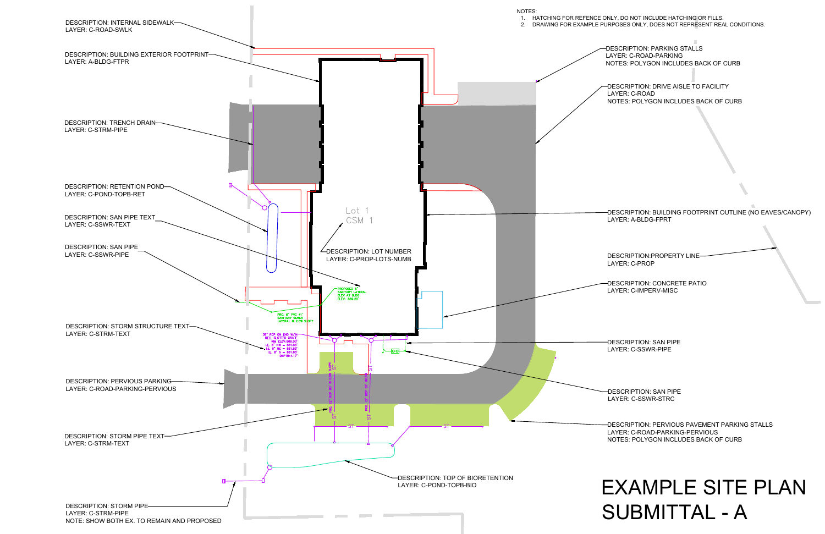DESCRIPTION: DRIVE AISLE TO FACILITY LAYER: C-ROAD NOTES: POLYGON INCLUDES BACK OF CURB

DESCRIPTION: PARKING STALLS LAYER: C-ROAD-PARKING NOTES: POLYGON INCLUDES BACK OF CURB

DESCRIPTION: CONCRETE PATIO LAYER: C-IMPERV-MISC

DESCRIPTION: BUILDING FOOTPRINT OUTLINE (NO EAVES/CANOPY) LAYER: A-BLDG-FPRT

DESCRIPTION: SAN PIPE LAYER: C-SSWR-PIPE

DESCRIPTION: SAN PIPE

LAYER: C-SSWR-STRC

DESCRIPTION:PROPERTY LINE LAYER: C-PROP



## 1. HATCHING FOR REFENCE ONLY, DO NOT INCLUDE HATCHING OR FILLS. 2. DRAWING FOR EXAMPLE PURPOSES ONLY, DOES NOT REPRESENT REAL CONDITIONS.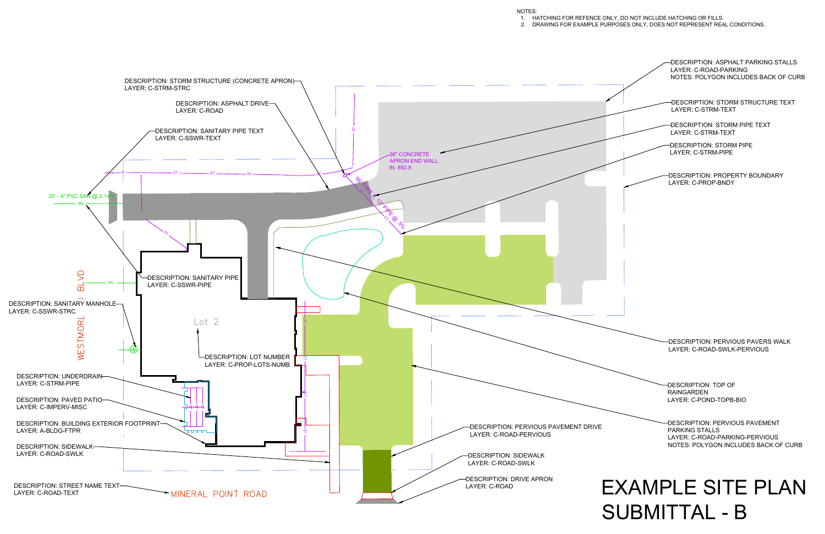

## 1. HATCHING FOR REFENCE ONLY, DO NOT INCLUDE HATCHING OR FILLS. 2. DRAWING FOR EXAMPLE PURPOSES ONLY, DOES NOT REPRESENT REAL CONDITIONS.

## SUBMITTAL - B